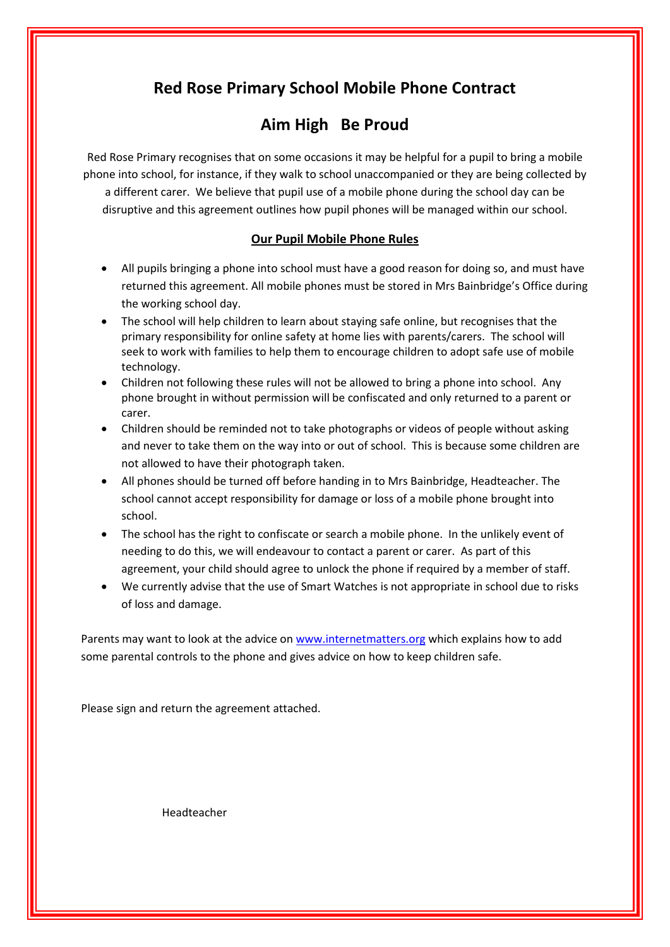# **Red Rose Primary School Mobile Phone Contract**

# **Aim High Be Proud**

Red Rose Primary recognises that on some occasions it may be helpful for a pupil to bring a mobile phone into school, for instance, if they walk to school unaccompanied or they are being collected by a different carer. We believe that pupil use of a mobile phone during the school day can be disruptive and this agreement outlines how pupil phones will be managed within our school.

#### **Our Pupil Mobile Phone Rules**

- All pupils bringing a phone into school must have a good reason for doing so, and must have returned this agreement. All mobile phones must be stored in Mrs Bainbridge's Office during the working school day.
- The school will help children to learn about staying safe online, but recognises that the primary responsibility for online safety at home lies with parents/carers. The school will seek to work with families to help them to encourage children to adopt safe use of mobile technology.
- Children not following these rules will not be allowed to bring a phone into school. Any phone brought in without permission will be confiscated and only returned to a parent or carer.
- Children should be reminded not to take photographs or videos of people without asking and never to take them on the way into or out of school. This is because some children are not allowed to have their photograph taken.
- All phones should be turned off before handing in to Mrs Bainbridge, Headteacher. The school cannot accept responsibility for damage or loss of a mobile phone brought into school.
- The school has the right to confiscate or search a mobile phone. In the unlikely event of needing to do this, we will endeavour to contact a parent or carer. As part of this agreement, your child should agree to unlock the phone if required by a member of staff.
- We currently advise that the use of Smart Watches is not appropriate in school due to risks of loss and damage.

Parents may want to look at the advice on [www.internetmatters.org](http://www.internetmatters.org/) which explains how to add some parental controls to the phone and gives advice on how to keep children safe.

Please sign and return the agreement attached.

Headteacher